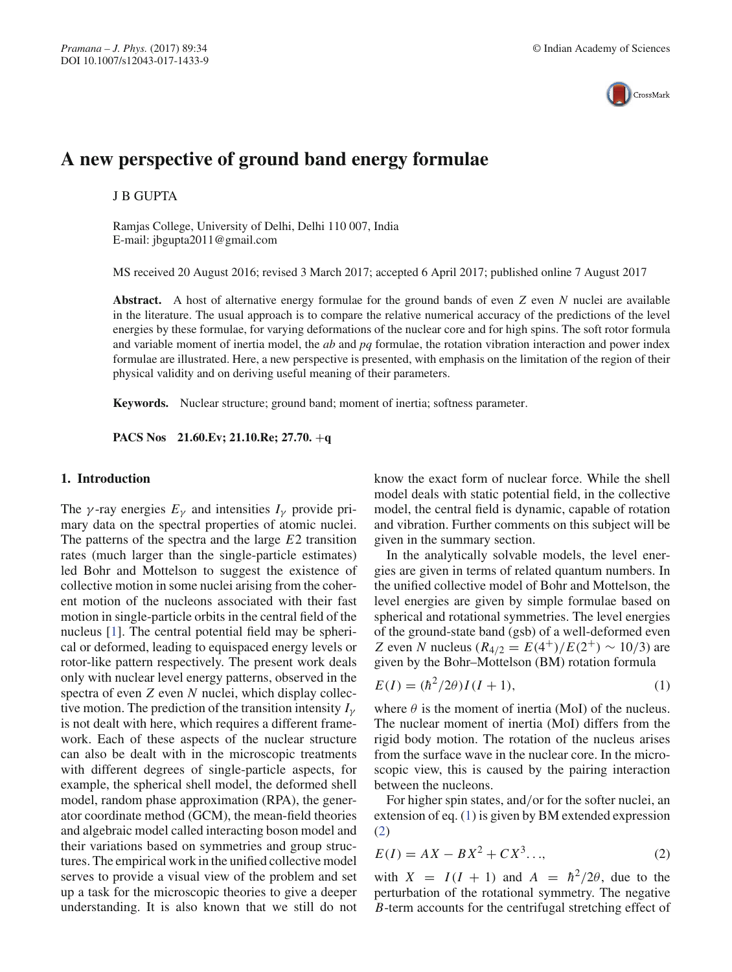

# **A new perspective of ground band energy formulae**

J B GUPTA

Ramjas College, University of Delhi, Delhi 110 007, India E-mail: jbgupta2011@gmail.com

MS received 20 August 2016; revised 3 March 2017; accepted 6 April 2017; published online 7 August 2017

**Abstract.** A host of alternative energy formulae for the ground bands of even *Z* even *N* nuclei are available in the literature. The usual approach is to compare the relative numerical accuracy of the predictions of the level energies by these formulae, for varying deformations of the nuclear core and for high spins. The soft rotor formula and variable moment of inertia model, the *ab* and *pq* formulae, the rotation vibration interaction and power index formulae are illustrated. Here, a new perspective is presented, with emphasis on the limitation of the region of their physical validity and on deriving useful meaning of their parameters.

**Keywords.** Nuclear structure; ground band; moment of inertia; softness parameter.

**PACS Nos 21.60.Ev; 21.10.Re; 27.70.** +**q**

## **1. Introduction**

The *γ*-ray energies  $E<sub>V</sub>$  and intensities  $I<sub>V</sub>$  provide primary data on the spectral properties of atomic nuclei. The patterns of the spectra and the large *E*2 transition rates (much larger than the single-particle estimates) led Bohr and Mottelson to suggest the existence of collective motion in some nuclei arising from the coherent motion of the nucleons associated with their fast motion in single-particle orbits in the central field of the nucleus [1]. The central potential field may be spherical or deformed, leading to equispaced energy levels or rotor-like pattern respectively. The present work deals only with nuclear level energy patterns, observed in the spectra of even *Z* even *N* nuclei, which display collective motion. The prediction of the transition intensity  $I_{\gamma}$ is not dealt with here, which requires a different framework. Each of these aspects of the nuclear structure can also be dealt with in the microscopic treatments with different degrees of single-particle aspects, for example, the spherical shell model, the deformed shell model, random phase approximation (RPA), the generator coordinate method (GCM), the mean-field theories and algebraic model called interacting boson model and their variations based on symmetries and group structures. The empirical work in the unified collective model serves to provide a visual view of the problem and set up a task for the microscopic theories to give a deeper understanding. It is also known that we still do not know the exact form of nuclear force. While the shell model deals with static potential field, in the collective model, the central field is dynamic, capable of rotation and vibration. Further comments on this subject will be given in the summary section.

In the analytically solvable models, the level energies are given in terms of related quantum numbers. In the unified collective model of Bohr and Mottelson, the level energies are given by simple formulae based on spherical and rotational symmetries. The level energies of the ground-state band (gsb) of a well-deformed even *Z* even *N* nucleus  $(R_{4/2} = E(4^+)/E(2^+) \sim 10/3)$  are given by the Bohr–Mottelson (BM) rotation formula

$$
E(I) = (\hbar^2/2\theta)I(I+1),\tag{1}
$$

where  $\theta$  is the moment of inertia (MoI) of the nucleus. The nuclear moment of inertia (MoI) differs from the rigid body motion. The rotation of the nucleus arises from the surface wave in the nuclear core. In the microscopic view, this is caused by the pairing interaction between the nucleons.

For higher spin states, and/or for the softer nuclei, an extension of eq. (1) is given by BM extended expression (2)

$$
E(I) = AX - BX^2 + CX^3 \dots,
$$
\n<sup>(2)</sup>

with  $X = I(I + 1)$  and  $A = \hbar^2/2\theta$ , due to the perturbation of the rotational symmetry. The negative *B*-term accounts for the centrifugal stretching effect of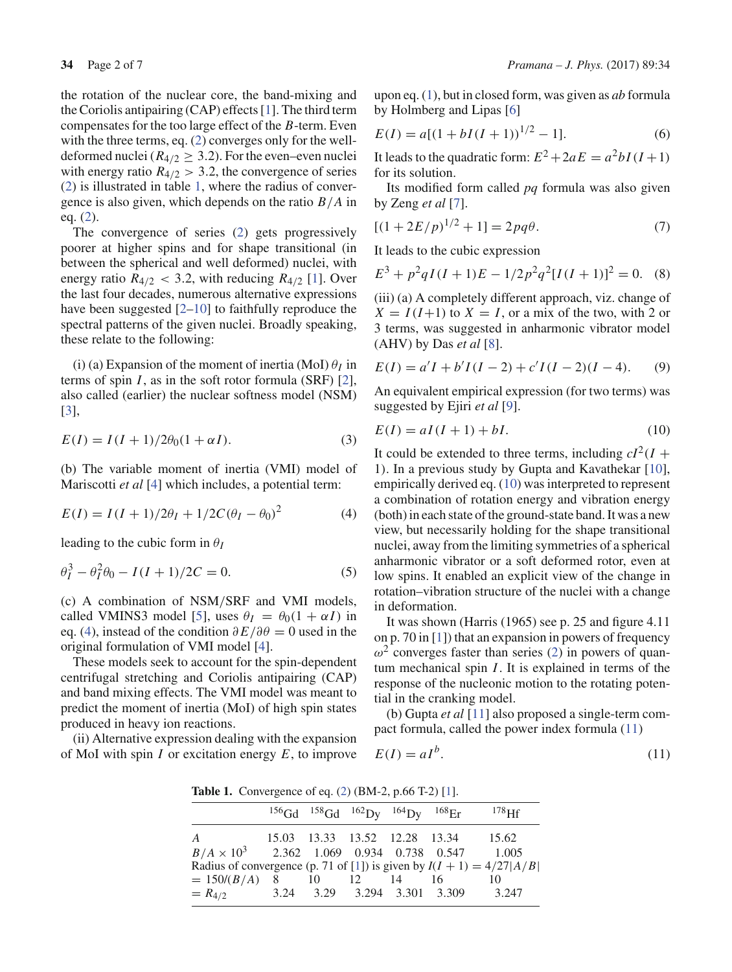the rotation of the nuclear core, the band-mixing and the Coriolis antipairing (CAP) effects [1]. The third term compensates for the too large effect of the *B*-term. Even with the three terms, eq. (2) converges only for the welldeformed nuclei ( $R_{4/2} \geq 3.2$ ). For the even–even nuclei with energy ratio  $R_{4/2} > 3.2$ , the convergence of series (2) is illustrated in table 1, where the radius of convergence is also given, which depends on the ratio *B*/*A* in eq. (2).

The convergence of series (2) gets progressively poorer at higher spins and for shape transitional (in between the spherical and well deformed) nuclei, with energy ratio  $R_{4/2}$  < 3.2, with reducing  $R_{4/2}$  [1]. Over the last four decades, numerous alternative expressions have been suggested [2–10] to faithfully reproduce the spectral patterns of the given nuclei. Broadly speaking, these relate to the following:

(i) (a) Expansion of the moment of inertia (MoI)  $\theta_I$  in terms of spin *I*, as in the soft rotor formula (SRF) [2], also called (earlier) the nuclear softness model (NSM) [3],

$$
E(I) = I(I+1)/2\theta_0(1+\alpha I). \tag{3}
$$

(b) The variable moment of inertia (VMI) model of Mariscotti *et al* [4] which includes, a potential term:

$$
E(I) = I(I + 1)/2\theta_I + 1/2C(\theta_I - \theta_0)^2
$$
 (4)

leading to the cubic form in θ*<sup>I</sup>*

$$
\theta_I^3 - \theta_I^2 \theta_0 - I(I+1)/2C = 0.
$$
 (5)

(c) A combination of NSM/SRF and VMI models, called VMINS3 model [5], uses  $\theta_I = \theta_0(1 + \alpha I)$  in eq. (4), instead of the condition  $\partial E/\partial \theta = 0$  used in the original formulation of VMI model [4].

These models seek to account for the spin-dependent centrifugal stretching and Coriolis antipairing (CAP) and band mixing effects. The VMI model was meant to predict the moment of inertia (MoI) of high spin states produced in heavy ion reactions.

(ii) Alternative expression dealing with the expansion of MoI with spin *I* or excitation energy *E*, to improve upon eq. (1), but in closed form, was given as *ab* formula by Holmberg and Lipas [6]

$$
E(I) = a[(1 + bI(I + 1))^{1/2} - 1].
$$
 (6)

It leads to the quadratic form:  $E^2 + 2aE = a^2bI(I + 1)$ for its solution.

Its modified form called *pq* formula was also given by Zeng *et al* [7].

$$
[(1 + 2E/p)^{1/2} + 1] = 2pq\theta.
$$
 (7)

It leads to the cubic expression

$$
E^{3} + p^{2}qI(I+1)E - 1/2p^{2}q^{2}[I(I+1)]^{2} = 0.
$$
 (8)

(iii) (a) A completely different approach, viz. change of  $X = I(I+1)$  to  $X = I$ , or a mix of the two, with 2 or 3 terms, was suggested in anharmonic vibrator model (AHV) by Das *et al* [8].

$$
E(I) = a'I + b'I(I - 2) + c'I(I - 2)(I - 4).
$$
 (9)

An equivalent empirical expression (for two terms) was suggested by Ejiri *et al* [9].

$$
E(I) = aI(I + 1) + bI.
$$
 (10)

It could be extended to three terms, including  $cI^2(I +$ 1). In a previous study by Gupta and Kavathekar [10], empirically derived eq. (10) was interpreted to represent a combination of rotation energy and vibration energy (both) in each state of the ground-state band. It was a new view, but necessarily holding for the shape transitional nuclei, away from the limiting symmetries of a spherical anharmonic vibrator or a soft deformed rotor, even at low spins. It enabled an explicit view of the change in rotation–vibration structure of the nuclei with a change in deformation.

It was shown (Harris (1965) see p. 25 and figure 4.11 on p. 70 in [1]) that an expansion in powers of frequency  $\omega^2$  converges faster than series (2) in powers of quantum mechanical spin *I*. It is explained in terms of the response of the nucleonic motion to the rotating potential in the cranking model.

(b) Gupta *et al* [11] also proposed a single-term compact formula, called the power index formula (11)

$$
E(I) = aI^b.
$$
 (11)

**Table 1.** Convergence of eq. (2) (BM-2, p.66 T-2) [1].

|                                                                         |  | $156$ Gd $158$ Gd $162$ Dy $164$ Dy $168$ Er |                               | $178$ Hf |
|-------------------------------------------------------------------------|--|----------------------------------------------|-------------------------------|----------|
| A                                                                       |  |                                              | 15.03 13.33 13.52 12.28 13.34 | 15.62    |
| $B/A \times 10^3$ 2.362 1.069 0.934 0.738 0.547 1.005                   |  |                                              |                               |          |
| Radius of convergence (p. 71 of [1]) is given by $I(I + 1) = 4/27 A/B $ |  |                                              |                               |          |
| $= 150/(B/A)$ 8 10 12 14 16                                             |  |                                              |                               | 10       |
| $= R_{4/2}$ 3.24 3.29 3.294 3.301 3.309                                 |  |                                              |                               | 3.247    |
|                                                                         |  |                                              |                               |          |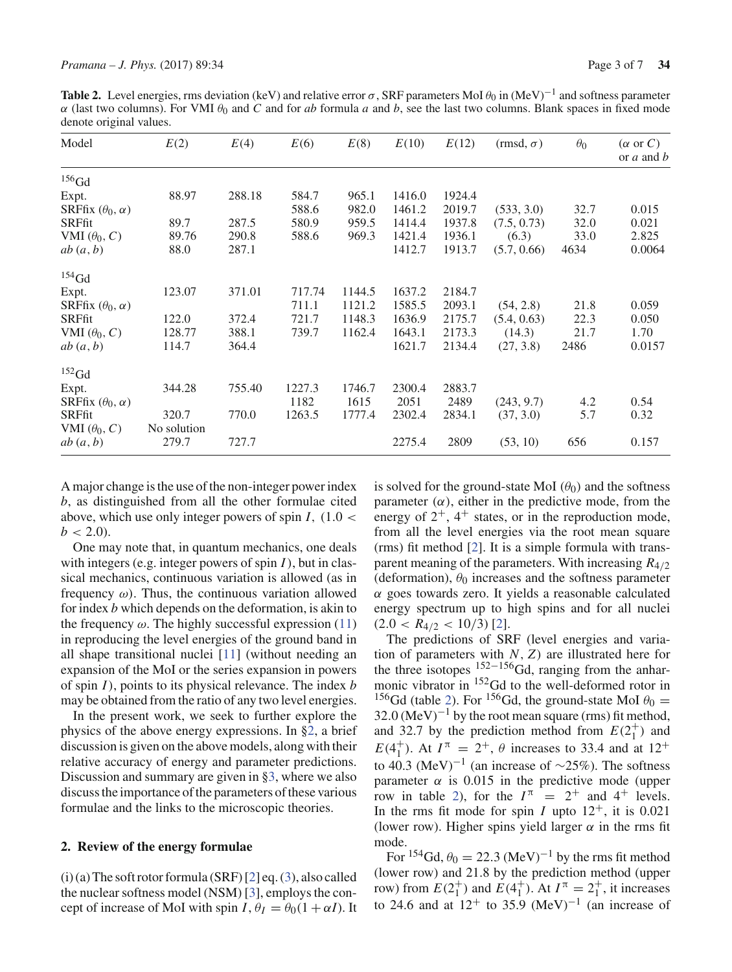**Table 2.** Level energies, rms deviation (keV) and relative error  $\sigma$ , SRF parameters MoI  $\theta_0$  in (MeV)<sup>-1</sup> and softness parameter  $\alpha$  (last two columns). For VMI  $\theta_0$  and *C* and for *ab* formula *a* and *b*, see the last two columns. Blank spaces in fixed mode denote original values.

| Model                                | E(2)                 | E(4)           | E(6)            | E(8)             | E(10)            | E(12)            | $(rmsd, \sigma)$     | $\theta_0$   | $(\alpha \text{ or } C)$<br>or $a$ and $b$ |
|--------------------------------------|----------------------|----------------|-----------------|------------------|------------------|------------------|----------------------|--------------|--------------------------------------------|
| $156$ Gd                             |                      |                |                 |                  |                  |                  |                      |              |                                            |
| Expt.<br>SRFfix $(\theta_0, \alpha)$ | 88.97                | 288.18         | 584.7<br>588.6  | 965.1<br>982.0   | 1416.0<br>1461.2 | 1924.4<br>2019.7 | (533, 3.0)           | 32.7         | 0.015                                      |
| <b>SRFfit</b>                        | 89.7                 | 287.5          | 580.9           | 959.5            | 1414.4           | 1937.8           | (7.5, 0.73)          | 32.0         | 0.021                                      |
| VMI $(\theta_0, C)$<br>ab(a,b)       | 89.76<br>88.0        | 290.8<br>287.1 | 588.6           | 969.3            | 1421.4<br>1412.7 | 1936.1<br>1913.7 | (6.3)<br>(5.7, 0.66) | 33.0<br>4634 | 2.825<br>0.0064                            |
| ${}^{154}\mathrm{Gd}$                |                      |                |                 |                  |                  |                  |                      |              |                                            |
| Expt.<br>SRFfix $(\theta_0, \alpha)$ | 123.07               | 371.01         | 717.74<br>711.1 | 1144.5<br>1121.2 | 1637.2<br>1585.5 | 2184.7<br>2093.1 | (54, 2.8)            | 21.8         | 0.059                                      |
| <b>SRFfit</b>                        | 122.0                | 372.4          | 721.7           | 1148.3           | 1636.9           | 2175.7           | (5.4, 0.63)          | 22.3         | 0.050                                      |
| VMI $(\theta_0, C)$<br>ab(a,b)       | 128.77<br>114.7      | 388.1<br>364.4 | 739.7           | 1162.4           | 1643.1<br>1621.7 | 2173.3<br>2134.4 | (14.3)<br>(27, 3.8)  | 21.7<br>2486 | 1.70<br>0.0157                             |
| $152$ Gd                             |                      |                |                 |                  |                  |                  |                      |              |                                            |
| Expt.<br>SRFfix $(\theta_0, \alpha)$ | 344.28               | 755.40         | 1227.3<br>1182  | 1746.7<br>1615   | 2300.4<br>2051   | 2883.7<br>2489   | (243, 9.7)           | 4.2          | 0.54                                       |
| <b>SRFfit</b><br>VMI $(\theta_0, C)$ | 320.7<br>No solution | 770.0          | 1263.5          | 1777.4           | 2302.4           | 2834.1           | (37, 3.0)            | 5.7          | 0.32                                       |
| ab(a,b)                              | 279.7                | 727.7          |                 |                  | 2275.4           | 2809             | (53, 10)             | 656          | 0.157                                      |

A major change is the use of the non-integer power index *b*, as distinguished from all the other formulae cited above, which use only integer powers of spin  $I$ , (1.0 <  $b < 2.0$ ).

One may note that, in quantum mechanics, one deals with integers (e.g. integer powers of spin *I*), but in classical mechanics, continuous variation is allowed (as in frequency  $\omega$ ). Thus, the continuous variation allowed for index *b* which depends on the deformation, is akin to the frequency  $\omega$ . The highly successful expression (11) in reproducing the level energies of the ground band in all shape transitional nuclei [11] (without needing an expansion of the MoI or the series expansion in powers of spin *I*), points to its physical relevance. The index *b* may be obtained from the ratio of any two level energies.

In the present work, we seek to further explore the physics of the above energy expressions. In §2, a brief discussion is given on the above models, along with their relative accuracy of energy and parameter predictions. Discussion and summary are given in §3, where we also discuss the importance of the parameters of these various formulae and the links to the microscopic theories.

#### **2. Review of the energy formulae**

 $(i)$  (a) The soft rotor formula (SRF) [2] eq. (3), also called the nuclear softness model (NSM) [3], employs the concept of increase of MoI with spin *I*,  $\theta_I = \theta_0(1 + \alpha I)$ . It is solved for the ground-state MoI  $(\theta_0)$  and the softness parameter  $(\alpha)$ , either in the predictive mode, from the energy of  $2^+$ ,  $4^+$  states, or in the reproduction mode, from all the level energies via the root mean square (rms) fit method [2]. It is a simple formula with transparent meaning of the parameters. With increasing *R*4/<sup>2</sup> (deformation),  $\theta_0$  increases and the softness parameter  $\alpha$  goes towards zero. It yields a reasonable calculated energy spectrum up to high spins and for all nuclei  $(2.0 < R_{4/2} < 10/3)$  [2].

The predictions of SRF (level energies and variation of parameters with *N*, *Z*) are illustrated here for the three isotopes  $152-156$  Gd, ranging from the anharmonic vibrator in 152Gd to the well-deformed rotor in <sup>156</sup>Gd (table 2). For <sup>156</sup>Gd, the ground-state MoI  $\theta_0 =$  $32.0 \, (\text{MeV})^{-1}$  by the root mean square (rms) fit method, and 32.7 by the prediction method from  $E(2_1^+)$  and *E*(4<sup>+</sup>). At  $I^{\pi} = 2^{+}$ ,  $\theta$  increases to 33.4 and at 12<sup>+</sup> to 40.3 (MeV)<sup>-1</sup> (an increase of  $\sim$ 25%). The softness parameter  $\alpha$  is 0.015 in the predictive mode (upper row in table 2), for the  $I^{\pi} = 2^+$  and  $4^+$  levels. In the rms fit mode for spin *I* upto  $12^+$ , it is 0.021 (lower row). Higher spins yield larger  $\alpha$  in the rms fit mode.

For <sup>154</sup>Gd,  $\theta_0 = 22.3 \text{ (MeV)}^{-1}$  by the rms fit method (lower row) and 21.8 by the prediction method (upper row) from  $E(2_1^+)$  and  $E(4_1^+)$ . At  $I^{\pi} = 2_1^+$ , it increases to 24.6 and at  $12^+$  to 35.9 (MeV)<sup>-1</sup> (an increase of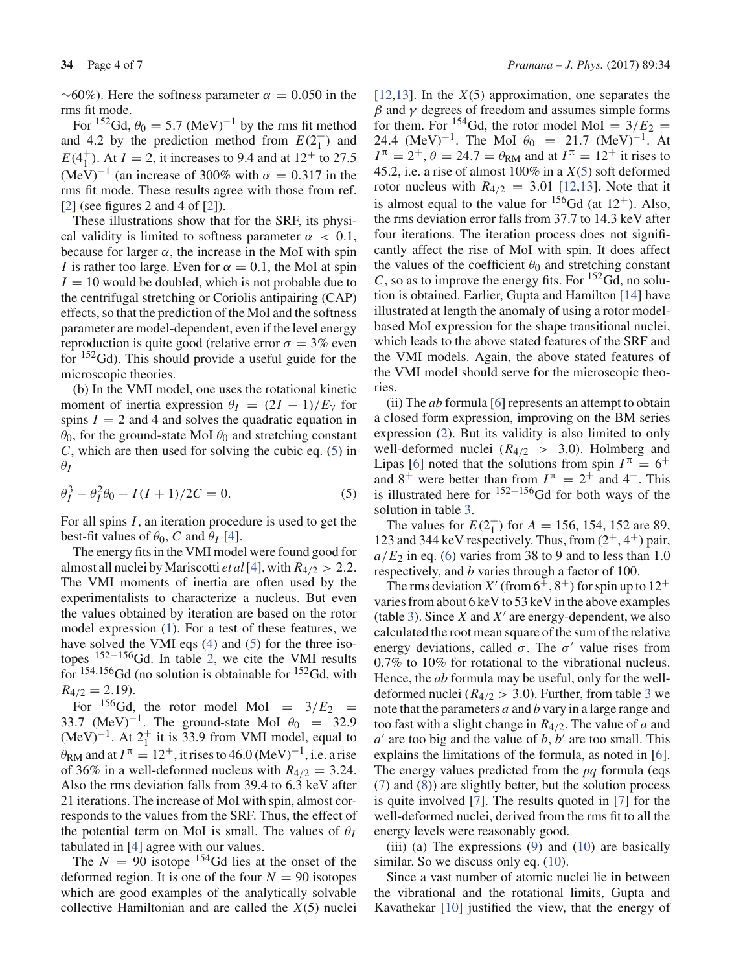$~\sim 60\%$ ). Here the softness parameter  $\alpha = 0.050$  in the rms fit mode.

For <sup>152</sup>Gd,  $\theta_0 = 5.7 \text{ (MeV)}^{-1}$  by the rms fit method and 4.2 by the prediction method from  $E(2_1^+)$  and  $E(4_1^+)$ . At  $I = 2$ , it increases to 9.4 and at  $12^+$  to 27.5  $(MeV)^{-1}$  (an increase of 300% with  $\alpha = 0.317$  in the rms fit mode. These results agree with those from ref. [2] (see figures 2 and 4 of [2]).

These illustrations show that for the SRF, its physical validity is limited to softness parameter  $\alpha < 0.1$ , because for larger  $\alpha$ , the increase in the MoI with spin *I* is rather too large. Even for  $\alpha = 0.1$ , the MoI at spin  $I = 10$  would be doubled, which is not probable due to the centrifugal stretching or Coriolis antipairing (CAP) effects, so that the prediction of the MoI and the softness parameter are model-dependent, even if the level energy reproduction is quite good (relative error  $\sigma = 3\%$  even for  $152$ Gd). This should provide a useful guide for the microscopic theories.

(b) In the VMI model, one uses the rotational kinetic moment of inertia expression  $\theta_I = (2I - 1)/E_\gamma$  for spins  $I = 2$  and 4 and solves the quadratic equation in  $\theta_0$ , for the ground-state MoI  $\theta_0$  and stretching constant *C*, which are then used for solving the cubic eq. (5) in θ*I*

$$
\theta_I^3 - \theta_I^2 \theta_0 - I(I+1)/2C = 0.
$$
 (5)

For all spins *I*, an iteration procedure is used to get the best-fit values of  $\theta_0$ , *C* and  $\theta_I$  [4].

The energy fits in the VMI model were found good for almost all nuclei by Mariscotti *et al* [4], with  $R_{4/2} > 2.2$ . The VMI moments of inertia are often used by the experimentalists to characterize a nucleus. But even the values obtained by iteration are based on the rotor model expression (1). For a test of these features, we have solved the VMI eqs (4) and (5) for the three isotopes <sup>152</sup>−156Gd. In table 2, we cite the VMI results for  $154,156$  Gd (no solution is obtainable for  $152$  Gd, with  $R_{4/2} = 2.19$ .

For <sup>156</sup>Gd, the rotor model MoI =  $3/E_2$  = 33.7 (MeV)<sup>-1</sup>. The ground-state MoI  $\theta_0$  = 32.9  $(MeV)^{-1}$ . At  $2_1^+$  it is 33.9 from VMI model, equal to  $\theta_{\rm RM}$  and at  $I^{\pi} = 12^{+}$ , it rises to 46.0 (MeV)<sup>-1</sup>, i.e. a rise of 36% in a well-deformed nucleus with  $R_{4/2} = 3.24$ . Also the rms deviation falls from 39.4 to 6.3 keV after 21 iterations. The increase of MoI with spin, almost corresponds to the values from the SRF. Thus, the effect of the potential term on MoI is small. The values of  $\theta_I$ tabulated in [4] agree with our values.

The  $N = 90$  isotope <sup>154</sup>Gd lies at the onset of the deformed region. It is one of the four  $N = 90$  isotopes which are good examples of the analytically solvable collective Hamiltonian and are called the *X*(5) nuclei [12,13]. In the *X*(5) approximation, one separates the  $\beta$  and  $\gamma$  degrees of freedom and assumes simple forms for them. For <sup>154</sup>Gd, the rotor model MoI =  $3/E_2$  = 24.4 (MeV)<sup>-1</sup>. The MoI  $\theta_0$  = 21.7 (MeV)<sup>-1</sup>. At  $I^{\pi} = 2^{+}$ ,  $\theta = 24.7 = \theta_{\rm RM}$  and at  $I^{\pi} = 12^{+}$  it rises to 45.2, i.e. a rise of almost 100% in a *X*(5) soft deformed rotor nucleus with  $R_{4/2} = 3.01$  [12,13]. Note that it is almost equal to the value for  $156Gd$  (at  $12^+$ ). Also, the rms deviation error falls from 37.7 to 14.3 keV after four iterations. The iteration process does not significantly affect the rise of MoI with spin. It does affect the values of the coefficient  $\theta_0$  and stretching constant *C*, so as to improve the energy fits. For  $^{152}$ Gd, no solution is obtained. Earlier, Gupta and Hamilton [14] have illustrated at length the anomaly of using a rotor modelbased MoI expression for the shape transitional nuclei, which leads to the above stated features of the SRF and the VMI models. Again, the above stated features of the VMI model should serve for the microscopic theories.

(ii) The *ab* formula [6] represents an attempt to obtain a closed form expression, improving on the BM series expression (2). But its validity is also limited to only well-deformed nuclei  $(R_{4/2} > 3.0)$ . Holmberg and Lipas [6] noted that the solutions from spin  $I^{\pi} = 6^+$ and  $8^+$  were better than from  $I^{\pi} = 2^+$  and  $4^+$ . This is illustrated here for <sup>152</sup>−156Gd for both ways of the solution in table 3.

The values for  $E(2_1^+)$  for  $A = 156, 154, 152$  are 89, 123 and 344 keV respectively. Thus, from  $(2^+, 4^+)$  pair,  $a/E_2$  in eq. (6) varies from 38 to 9 and to less than 1.0 respectively, and *b* varies through a factor of 100.

The rms deviation X' (from  $6^+, 8^+$ ) for spin up to  $12^+$ varies from about 6 keV to 53 keV in the above examples (table 3). Since  $X$  and  $X'$  are energy-dependent, we also calculated the root mean square of the sum of the relative energy deviations, called  $\sigma$ . The  $\sigma'$  value rises from 0.7% to 10% for rotational to the vibrational nucleus. Hence, the *ab* formula may be useful, only for the welldeformed nuclei  $(R_{4/2} > 3.0)$ . Further, from table 3 we note that the parameters *a* and *b* vary in a large range and too fast with a slight change in *R*4/2. The value of *a* and  $a'$  are too big and the value of *b*,  $b'$  are too small. This explains the limitations of the formula, as noted in [6]. The energy values predicted from the *pq* formula (eqs (7) and (8)) are slightly better, but the solution process is quite involved [7]. The results quoted in [7] for the well-deformed nuclei, derived from the rms fit to all the energy levels were reasonably good.

(iii) (a) The expressions  $(9)$  and  $(10)$  are basically similar. So we discuss only eq. (10).

Since a vast number of atomic nuclei lie in between the vibrational and the rotational limits, Gupta and Kavathekar [10] justified the view, that the energy of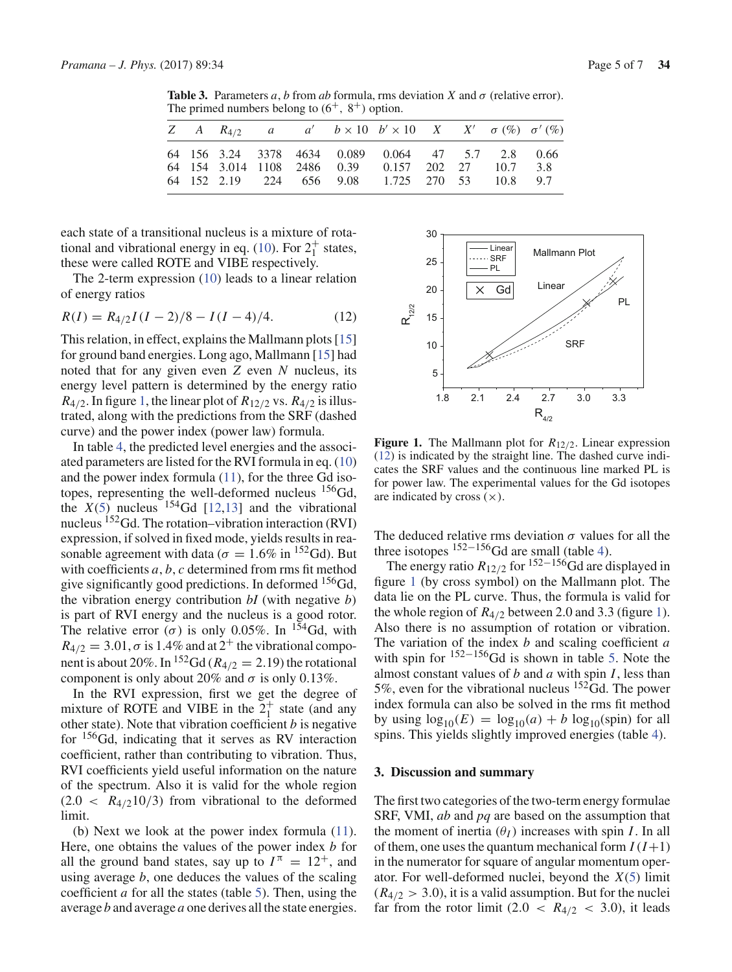|  |  |  | Z A $R_{4/2}$ a a' $b \times 10$ b' $\times 10$ X X' $\sigma$ (%) $\sigma'$ (%)                                                                          |  |  |
|--|--|--|----------------------------------------------------------------------------------------------------------------------------------------------------------|--|--|
|  |  |  | 64 156 3.24 3378 4634 0.089 0.064 47 5.7 2.8 0.66<br>64 154 3.014 1108 2486 0.39 0.157 202 27 10.7 3.8<br>64 152 2.19 224 656 9.08 1.725 270 53 10.8 9.7 |  |  |

each state of a transitional nucleus is a mixture of rotational and vibrational energy in eq. (10). For  $2^+_1$  states, these were called ROTE and VIBE respectively.

The 2-term expression (10) leads to a linear relation of energy ratios

$$
R(I) = R_{4/2}I(I-2)/8 - I(I-4)/4.
$$
 (12)

This relation, in effect, explains the Mallmann plots [15] for ground band energies. Long ago, Mallmann [15] had noted that for any given even *Z* even *N* nucleus, its energy level pattern is determined by the energy ratio  $R_{4/2}$ . In figure 1, the linear plot of  $R_{12/2}$  vs.  $R_{4/2}$  is illustrated, along with the predictions from the SRF (dashed curve) and the power index (power law) formula.

In table 4, the predicted level energies and the associated parameters are listed for the RVI formula in eq. (10) and the power index formula  $(11)$ , for the three Gd isotopes, representing the well-deformed nucleus 156Gd, the  $X(5)$  nucleus <sup>154</sup>Gd [12,13] and the vibrational nucleus 152Gd. The rotation–vibration interaction (RVI) expression, if solved in fixed mode, yields results in reasonable agreement with data ( $\sigma = 1.6\%$  in <sup>152</sup>Gd). But with coefficients *a*, *b*, *c* determined from rms fit method give significantly good predictions. In deformed <sup>156</sup>Gd, the vibration energy contribution *bI* (with negative *b*) is part of RVI energy and the nucleus is a good rotor. The relative error  $(\sigma)$  is only 0.05%. In <sup>154</sup>Gd, with  $R_{4/2} = 3.01$ ,  $\sigma$  is 1.4% and at 2<sup>+</sup> the vibrational component is about 20%. In <sup>152</sup>Gd ( $R_{4/2} = 2.19$ ) the rotational component is only about 20% and  $\sigma$  is only 0.13%.

In the RVI expression, first we get the degree of mixture of ROTE and VIBE in the  $2^+_1$  state (and any other state). Note that vibration coefficient *b* is negative for 156Gd, indicating that it serves as RV interaction coefficient, rather than contributing to vibration. Thus, RVI coefficients yield useful information on the nature of the spectrum. Also it is valid for the whole region  $(2.0 < R_{4/2}10/3)$  from vibrational to the deformed limit.

(b) Next we look at the power index formula (11). Here, one obtains the values of the power index *b* for all the ground band states, say up to  $I^{\pi} = 12^{+}$ , and using average *b*, one deduces the values of the scaling coefficient *a* for all the states (table 5). Then, using the average *b* and average *a* one derives all the state energies.



**Figure 1.** The Mallmann plot for *R*<sub>12/2</sub>. Linear expression (12) is indicated by the straight line. The dashed curve indicates the SRF values and the continuous line marked PL is for power law. The experimental values for the Gd isotopes are indicated by cross  $(\times)$ .

The deduced relative rms deviation  $\sigma$  values for all the three isotopes  $152-156$  Gd are small (table 4).

The energy ratio *R*12/<sup>2</sup> for <sup>152</sup>−156Gd are displayed in figure 1 (by cross symbol) on the Mallmann plot. The data lie on the PL curve. Thus, the formula is valid for the whole region of  $R_{4/2}$  between 2.0 and 3.3 (figure 1). Also there is no assumption of rotation or vibration. The variation of the index *b* and scaling coefficient *a* with spin for <sup>152−156</sup>Gd is shown in table 5. Note the almost constant values of *b* and *a* with spin *I*, less than 5%, even for the vibrational nucleus  $^{152}$ Gd. The power index formula can also be solved in the rms fit method by using  $\log_{10}(E) = \log_{10}(a) + b \log_{10}(\text{spin})$  for all spins. This yields slightly improved energies (table 4).

### **3. Discussion and summary**

The first two categories of the two-term energy formulae SRF, VMI, *ab* and *pq* are based on the assumption that the moment of inertia  $(\theta_I)$  increases with spin *I*. In all of them, one uses the quantum mechanical form  $I(I+1)$ in the numerator for square of angular momentum operator. For well-deformed nuclei, beyond the *X*(5) limit  $(R_{4/2} > 3.0)$ , it is a valid assumption. But for the nuclei far from the rotor limit (2.0  $\langle R_{4/2} \rangle$  = 3.0), it leads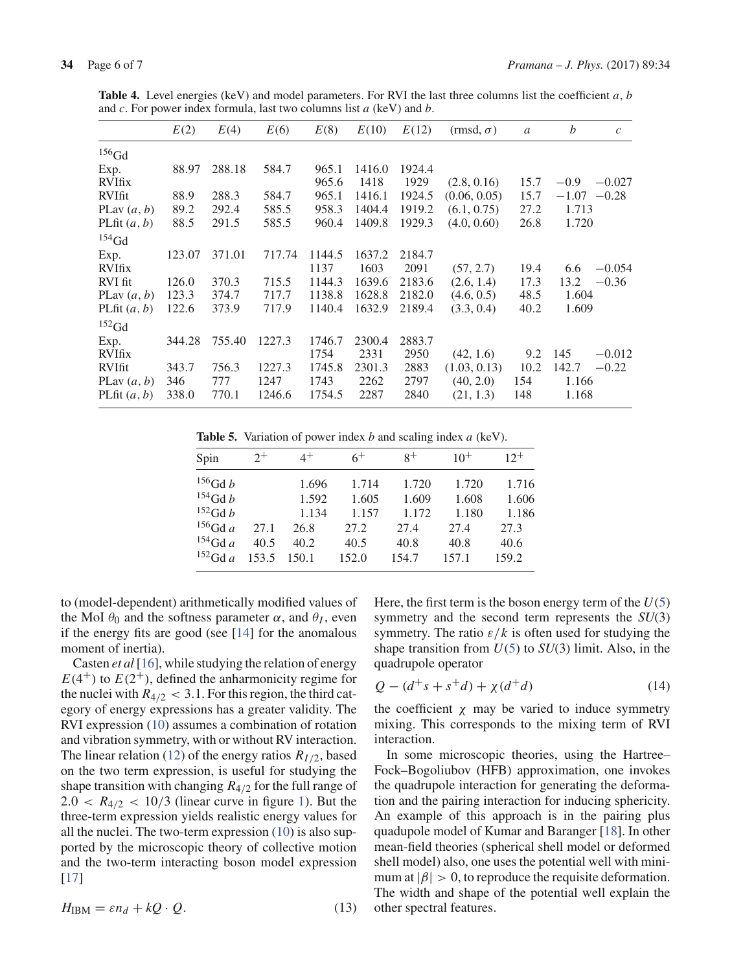|                | E(2)   | E(4)   | E(6)   | E(8)   | E(10)  | E(12)  | $(rmsd, \sigma)$ | $\mathfrak a$ | b       | $\mathcal{C}_{\mathcal{C}}$ |
|----------------|--------|--------|--------|--------|--------|--------|------------------|---------------|---------|-----------------------------|
| $156$ Gd       |        |        |        |        |        |        |                  |               |         |                             |
| Exp.           | 88.97  | 288.18 | 584.7  | 965.1  | 1416.0 | 1924.4 |                  |               |         |                             |
| <b>RVIfix</b>  |        |        |        | 965.6  | 1418   | 1929   | (2.8, 0.16)      | 15.7          | $-0.9$  | $-0.027$                    |
| <b>RVIfit</b>  | 88.9   | 288.3  | 584.7  | 965.1  | 1416.1 | 1924.5 | (0.06, 0.05)     | 15.7          | $-1.07$ | $-0.28$                     |
| PLay $(a, b)$  | 89.2   | 292.4  | 585.5  | 958.3  | 1404.4 | 1919.2 | (6.1, 0.75)      | 27.2          | 1.713   |                             |
| PLfit $(a, b)$ | 88.5   | 291.5  | 585.5  | 960.4  | 1409.8 | 1929.3 | (4.0, 0.60)      | 26.8          | 1.720   |                             |
| $154$ Gd       |        |        |        |        |        |        |                  |               |         |                             |
| Exp.           | 123.07 | 371.01 | 717.74 | 1144.5 | 1637.2 | 2184.7 |                  |               |         |                             |
| <b>RVIfix</b>  |        |        |        | 1137   | 1603   | 2091   | (57, 2.7)        | 19.4          | 6.6     | $-0.054$                    |
| <b>RVI</b> fit | 126.0  | 370.3  | 715.5  | 1144.3 | 1639.6 | 2183.6 | (2.6, 1.4)       | 17.3          | 13.2    | $-0.36$                     |
| PLay $(a, b)$  | 123.3  | 374.7  | 717.7  | 1138.8 | 1628.8 | 2182.0 | (4.6, 0.5)       | 48.5          | 1.604   |                             |
| PLfit $(a, b)$ | 122.6  | 373.9  | 717.9  | 1140.4 | 1632.9 | 2189.4 | (3.3, 0.4)       | 40.2          | 1.609   |                             |
| $\rm ^{152}Gd$ |        |        |        |        |        |        |                  |               |         |                             |
| Exp.           | 344.28 | 755.40 | 1227.3 | 1746.7 | 2300.4 | 2883.7 |                  |               |         |                             |
| <b>RVIfix</b>  |        |        |        | 1754   | 2331   | 2950   | (42, 1.6)        | 9.2           | 145     | $-0.012$                    |
| <b>RVIfit</b>  | 343.7  | 756.3  | 1227.3 | 1745.8 | 2301.3 | 2883   | (1.03, 0.13)     | 10.2          | 142.7   | $-0.22$                     |
| PLay $(a, b)$  | 346    | 777    | 1247   | 1743   | 2262   | 2797   | (40, 2.0)        | 154           | 1.166   |                             |
| PLfit $(a, b)$ | 338.0  | 770.1  | 1246.6 | 1754.5 | 2287   | 2840   | (21, 1.3)        | 148           | 1.168   |                             |

**Table 4.** Level energies (keV) and model parameters. For RVI the last three columns list the coefficient *a*, *b* and *c*. For power index formula, last two columns list *a* (keV) and *b*.

**Table 5.** Variation of power index *b* and scaling index *a* (keV).

| Spin       | $2^+$ | $4^+$ | $6+$  | $8^+$ | $10^{+}$ | $12^{+}$ |
|------------|-------|-------|-------|-------|----------|----------|
| $156$ Gd b |       | 1.696 | 1.714 | 1.720 | 1.720    | 1.716    |
| $154$ Gd b |       | 1.592 | 1.605 | 1.609 | 1.608    | 1.606    |
| $152$ Gd b |       | 1.134 | 1.157 | 1.172 | 1.180    | 1.186    |
| $156$ Gd a | 27.1  | 26.8  | 27.2  | 27.4  | 27.4     | 27.3     |
| $154$ Gd a | 40.5  | 40.2  | 40.5  | 40.8  | 40.8     | 40.6     |
| $152$ Gd a | 153.5 | 150.1 | 152.0 | 154.7 | 157.1    | 159.2    |

to (model-dependent) arithmetically modified values of the MoI  $\theta_0$  and the softness parameter  $\alpha$ , and  $\theta_I$ , even if the energy fits are good (see [14] for the anomalous moment of inertia).

Casten *et al*[16], while studying the relation of energy  $E(4^+)$  to  $E(2^+)$ , defined the anharmonicity regime for the nuclei with  $R_{4/2}$  < 3.1. For this region, the third category of energy expressions has a greater validity. The RVI expression (10) assumes a combination of rotation and vibration symmetry, with or without RV interaction. The linear relation (12) of the energy ratios  $R_{I/2}$ , based on the two term expression, is useful for studying the shape transition with changing  $R_{4/2}$  for the full range of  $2.0 < R_{4/2} < 10/3$  (linear curve in figure 1). But the three-term expression yields realistic energy values for all the nuclei. The two-term expression  $(10)$  is also supported by the microscopic theory of collective motion and the two-term interacting boson model expression [17]

$$
H_{\rm IBM} = \varepsilon n_d + kQ \cdot Q. \tag{13}
$$

Here, the first term is the boson energy term of the  $U(5)$ symmetry and the second term represents the *SU*(3) symmetry. The ratio  $\varepsilon/k$  is often used for studying the shape transition from  $U(5)$  to  $SU(3)$  limit. Also, in the quadrupole operator

$$
Q - (d^+s + s^+d) + \chi(d^+d)
$$
 (14)

the coefficient  $\chi$  may be varied to induce symmetry mixing. This corresponds to the mixing term of RVI interaction.

In some microscopic theories, using the Hartree– Fock–Bogoliubov (HFB) approximation, one invokes the quadrupole interaction for generating the deformation and the pairing interaction for inducing sphericity. An example of this approach is in the pairing plus quadupole model of Kumar and Baranger [18]. In other mean-field theories (spherical shell model or deformed shell model) also, one uses the potential well with minimum at  $|\beta| > 0$ , to reproduce the requisite deformation. The width and shape of the potential well explain the other spectral features.